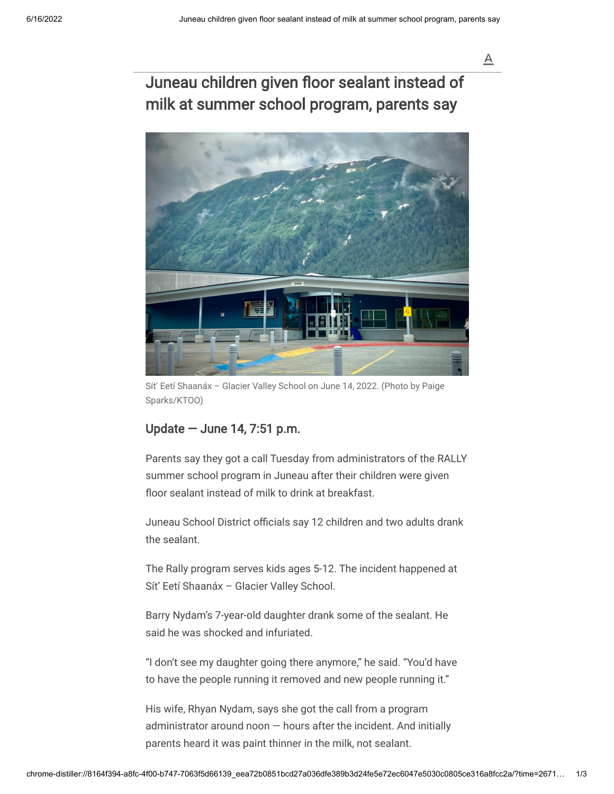## Juneau children given floor sealant instead of milk at summer school program, parents say



Sít' Eetí Shaanáx – Glacier Valley School on June 14, 2022. (Photo by Paige Sparks/KTOO)

## Update — June 14, 7:51 p.m.

Parents say they got a call Tuesday from administrators of the RALLY summer school program in Juneau after their children were given floor sealant instead of milk to drink at breakfast.

Juneau School District officials say 12 children and two adults drank the sealant.

The Rally program serves kids ages 5-12. The incident happened at Sít' Eetí Shaanáx – Glacier Valley School.

Barry Nydam's 7-year-old daughter drank some of the sealant. He said he was shocked and infuriated.

"I don't see my daughter going there anymore," he said. "You'd have to have the people running it removed and new people running it."

His wife, Rhyan Nydam, says she got the call from a program administrator around noon  $-$  hours after the incident. And initially parents heard it was paint thinner in the milk, not sealant.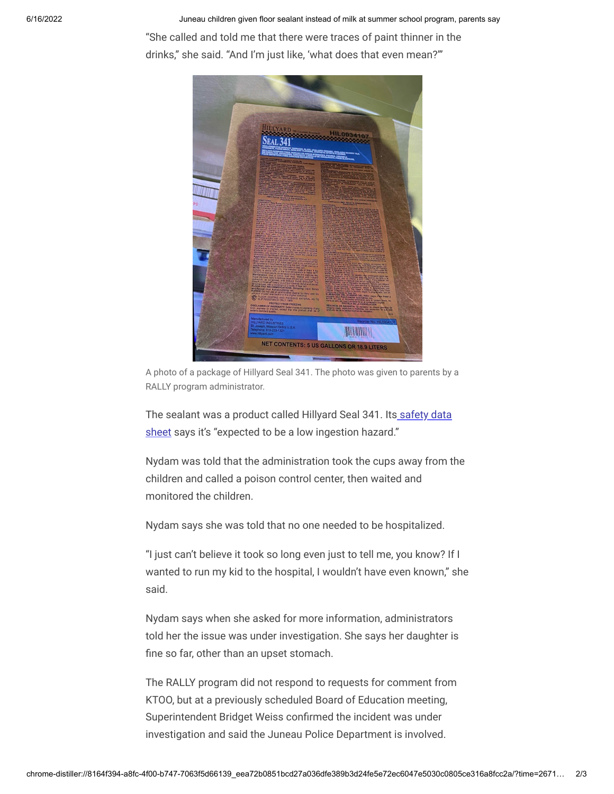6/16/2022 **Juneau children given floor sealant instead of milk at summer school program, parents say** 

"She called and told me that there were traces of paint thinner in the drinks," she said. "And I'm just like, 'what does that even mean?'"



A photo of a package of Hillyard Seal 341. The photo was given to parents by a RALLY program administrator.

The sealant was a product called Hillyard Seal 341. Its safety data [sheet says it's "expected to be a low ingestion hazard."](https://media.ktoo.org/wp-content/uploads/2022/06/MSDSHIL00341.pdf)

Nydam was told that the administration took the cups away from the children and called a poison control center, then waited and monitored the children.

Nydam says she was told that no one needed to be hospitalized.

"I just can't believe it took so long even just to tell me, you know? If I wanted to run my kid to the hospital, I wouldn't have even known," she said.

Nydam says when she asked for more information, administrators told her the issue was under investigation. She says her daughter is fine so far, other than an upset stomach.

The RALLY program did not respond to requests for comment from KTOO, but at a previously scheduled Board of Education meeting, Superintendent Bridget Weiss confirmed the incident was under investigation and said the Juneau Police Department is involved.